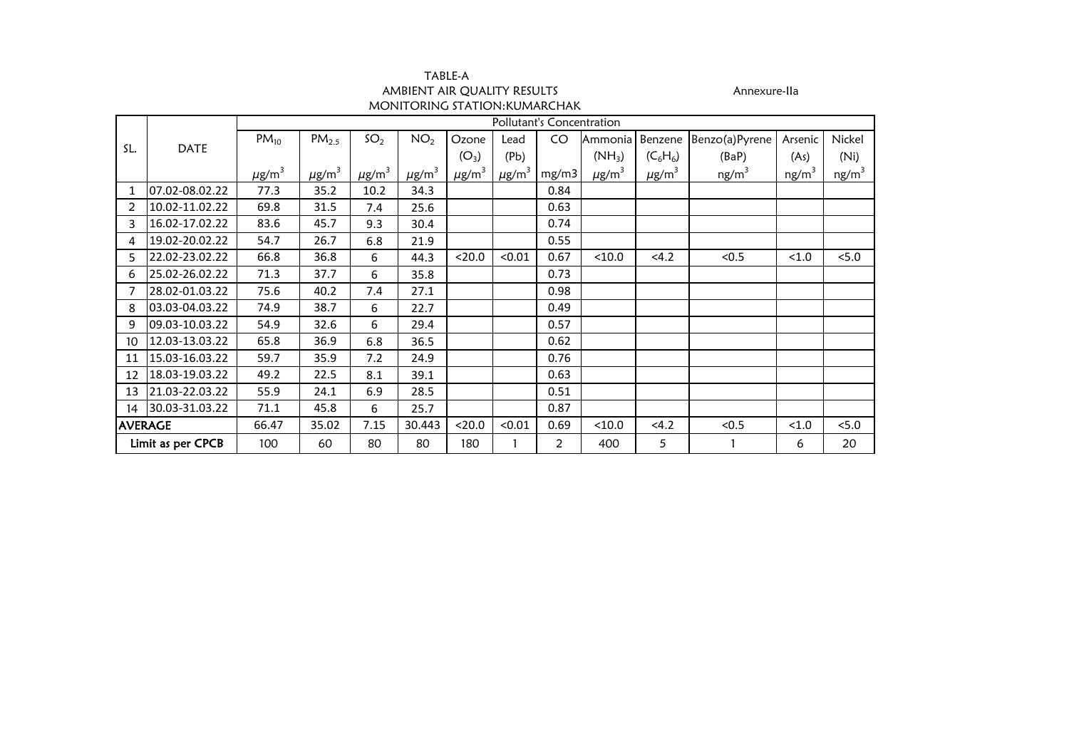| TABLE-A                       |
|-------------------------------|
| AMBIENT AIR QUALITY RESULTS   |
| MONITORING STATION: KUMARCHAK |

Annexure-IIa

|                |                   |                        |                        |                        |                        |                        |                        | Pollutant's Concentration |                |                        |                   |                   |                   |
|----------------|-------------------|------------------------|------------------------|------------------------|------------------------|------------------------|------------------------|---------------------------|----------------|------------------------|-------------------|-------------------|-------------------|
|                |                   | $PM_{10}$              | PM <sub>2.5</sub>      | SO <sub>2</sub>        | NO <sub>2</sub>        | Ozone                  | Lead                   | CO                        | Ammonia        | Benzene                | Benzo(a)Pyrene    | Arsenic           | Nickel            |
| SL.            | <b>DATE</b>       |                        |                        |                        |                        | $(O_3)$                | (Pb)                   |                           | $(NH_3)$       | $(C_6H_6)$             | (BaP)             | (As)              | (Ni)              |
|                |                   | $\mu$ g/m <sup>3</sup> | $\mu$ g/m <sup>3</sup> | $\mu$ g/m <sup>3</sup> | $\mu$ g/m <sup>3</sup> | $\mu$ g/m <sup>3</sup> | $\mu$ g/m <sup>3</sup> | mg/m3                     | $\mu$ g/m $^3$ | $\mu$ g/m <sup>3</sup> | ng/m <sup>3</sup> | ng/m <sup>3</sup> | ng/m <sup>3</sup> |
|                | 07.02-08.02.22    | 77.3                   | 35.2                   | 10.2                   | 34.3                   |                        |                        | 0.84                      |                |                        |                   |                   |                   |
| 2              | 10.02-11.02.22    | 69.8                   | 31.5                   | 7.4                    | 25.6                   |                        |                        | 0.63                      |                |                        |                   |                   |                   |
| 3              | 16.02-17.02.22    | 83.6                   | 45.7                   | 9.3                    | 30.4                   |                        |                        | 0.74                      |                |                        |                   |                   |                   |
| 4              | 19.02-20.02.22    | 54.7                   | 26.7                   | 6.8                    | 21.9                   |                        |                        | 0.55                      |                |                        |                   |                   |                   |
| 5              | 22.02-23.02.22    | 66.8                   | 36.8                   | 6                      | 44.3                   | < 20.0                 | < 0.01                 | 0.67                      | < 10.0         | < 4.2                  | < 0.5             | < 1.0             | < 5.0             |
| 6              | 25.02-26.02.22    | 71.3                   | 37.7                   | 6                      | 35.8                   |                        |                        | 0.73                      |                |                        |                   |                   |                   |
|                | 28.02-01.03.22    | 75.6                   | 40.2                   | 7.4                    | 27.1                   |                        |                        | 0.98                      |                |                        |                   |                   |                   |
| 8              | 03.03-04.03.22    | 74.9                   | 38.7                   | 6                      | 22.7                   |                        |                        | 0.49                      |                |                        |                   |                   |                   |
| 9              | 09.03-10.03.22    | 54.9                   | 32.6                   | 6                      | 29.4                   |                        |                        | 0.57                      |                |                        |                   |                   |                   |
| 10             | 12.03-13.03.22    | 65.8                   | 36.9                   | 6.8                    | 36.5                   |                        |                        | 0.62                      |                |                        |                   |                   |                   |
| 11             | 15.03-16.03.22    | 59.7                   | 35.9                   | 7.2                    | 24.9                   |                        |                        | 0.76                      |                |                        |                   |                   |                   |
| 12             | 18.03-19.03.22    | 49.2                   | 22.5                   | 8.1                    | 39.1                   |                        |                        | 0.63                      |                |                        |                   |                   |                   |
| 13             | 21.03-22.03.22    | 55.9                   | 24.1                   | 6.9                    | 28.5                   |                        |                        | 0.51                      |                |                        |                   |                   |                   |
| 14             | 30.03-31.03.22    | 71.1                   | 45.8                   | 6                      | 25.7                   |                        |                        | 0.87                      |                |                        |                   |                   |                   |
| <b>AVERAGE</b> |                   | 66.47                  | 35.02                  | 7.15                   | 30.443                 | < 20.0                 | < 0.01                 | 0.69                      | < 10.0         | < 4.2                  | < 0.5             | < 1.0             | < 5.0             |
|                | Limit as per CPCB | 100                    | 60                     | 80                     | 80                     | 180                    |                        | 2                         | 400            | 5                      |                   | 6                 | 20                |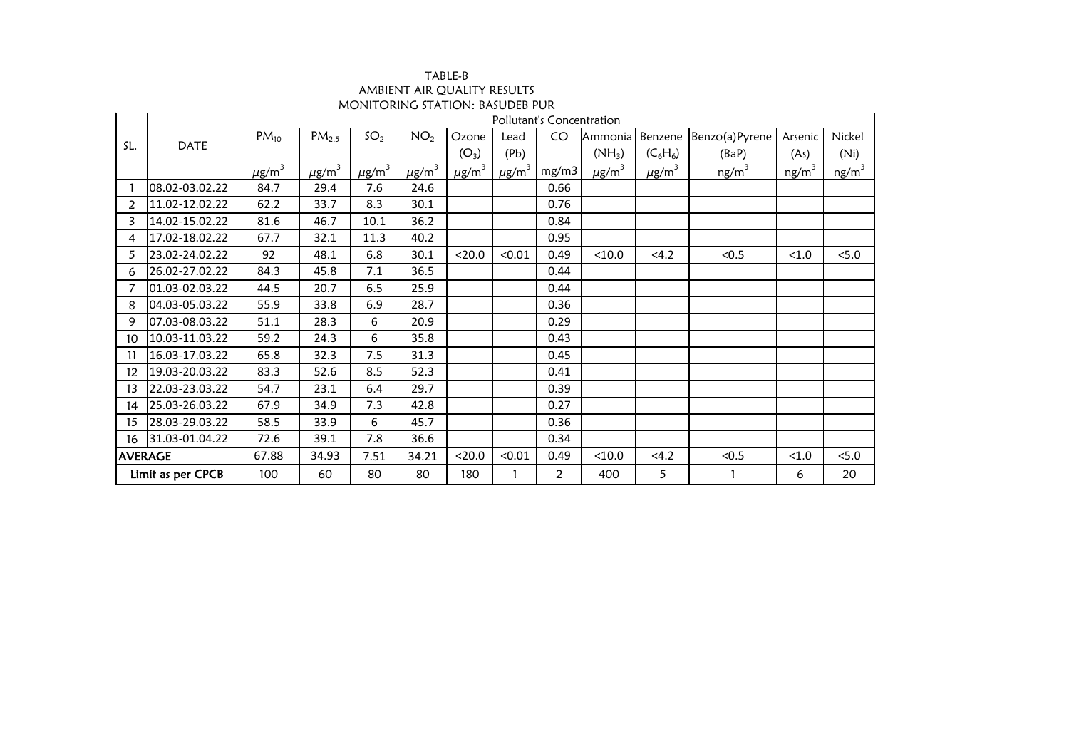| TABLE-B                         |
|---------------------------------|
| AMBIENT AIR OUALITY RESULTS     |
| MONITORING STATION: BASUDEB PUR |

|                |                   | Pollutant's Concentration |                        |                        |                 |                        |                        |                       |                        |                        |                   |                   |                   |
|----------------|-------------------|---------------------------|------------------------|------------------------|-----------------|------------------------|------------------------|-----------------------|------------------------|------------------------|-------------------|-------------------|-------------------|
|                |                   | $PM_{10}$                 | PM <sub>2.5</sub>      | SO <sub>2</sub>        | NO <sub>2</sub> | Ozone                  | Lead                   | CO                    | Ammonia                | Benzene                | Benzo(a)Pyrene    | Arsenic           | Nickel            |
| SL.            | <b>DATE</b>       |                           |                        |                        |                 | $(O_3)$                | (Pb)                   |                       | $(NH_3)$               | $(C_6H_6)$             | (BaP)             | (As)              | (Ni)              |
|                |                   | $\mu$ g/m <sup>3</sup>    | $\mu$ g/m <sup>3</sup> | $\mu$ g/m <sup>3</sup> | $\mu$ g/m $^3$  | $\mu$ g/m <sup>3</sup> | $\mu$ g/m <sup>3</sup> | mg/m3                 | $\mu$ g/m <sup>3</sup> | $\mu$ g/m <sup>3</sup> | ng/m <sup>3</sup> | ng/m <sup>3</sup> | ng/m <sup>3</sup> |
|                | 08.02-03.02.22    | 84.7                      | 29.4                   | 7.6                    | 24.6            |                        |                        | 0.66                  |                        |                        |                   |                   |                   |
| $\overline{2}$ | 11.02-12.02.22    | 62.2                      | 33.7                   | 8.3                    | 30.1            |                        |                        | 0.76                  |                        |                        |                   |                   |                   |
| 3              | 14.02-15.02.22    | 81.6                      | 46.7                   | 10.1                   | 36.2            |                        |                        | 0.84                  |                        |                        |                   |                   |                   |
| 4              | 17.02-18.02.22    | 67.7                      | 32.1                   | 11.3                   | 40.2            |                        |                        | 0.95                  |                        |                        |                   |                   |                   |
| 5              | 23.02-24.02.22    | 92                        | 48.1                   | 6.8                    | 30.1            | < 20.0                 | < 0.01                 | 0.49                  | < 10.0                 | < 4.2                  | < 0.5             | < 1.0             | 5.0               |
| 6              | 26.02-27.02.22    | 84.3                      | 45.8                   | 7.1                    | 36.5            |                        |                        | 0.44                  |                        |                        |                   |                   |                   |
|                | 01.03-02.03.22    | 44.5                      | 20.7                   | 6.5                    | 25.9            |                        |                        | 0.44                  |                        |                        |                   |                   |                   |
| 8              | 04.03-05.03.22    | 55.9                      | 33.8                   | 6.9                    | 28.7            |                        |                        | 0.36                  |                        |                        |                   |                   |                   |
| 9              | 07.03-08.03.22    | 51.1                      | 28.3                   | 6                      | 20.9            |                        |                        | 0.29                  |                        |                        |                   |                   |                   |
| 10             | 10.03-11.03.22    | 59.2                      | 24.3                   | 6                      | 35.8            |                        |                        | 0.43                  |                        |                        |                   |                   |                   |
| 11             | 16.03-17.03.22    | 65.8                      | 32.3                   | 7.5                    | 31.3            |                        |                        | 0.45                  |                        |                        |                   |                   |                   |
| 12             | 19.03-20.03.22    | 83.3                      | 52.6                   | 8.5                    | 52.3            |                        |                        | 0.41                  |                        |                        |                   |                   |                   |
| 13             | 22.03-23.03.22    | 54.7                      | 23.1                   | 6.4                    | 29.7            |                        |                        | 0.39                  |                        |                        |                   |                   |                   |
| 14             | 25.03-26.03.22    | 67.9                      | 34.9                   | 7.3                    | 42.8            |                        |                        | 0.27                  |                        |                        |                   |                   |                   |
| 15             | 28.03-29.03.22    | 58.5                      | 33.9                   | 6                      | 45.7            |                        |                        | 0.36                  |                        |                        |                   |                   |                   |
| 16             | 31.03-01.04.22    | 72.6                      | 39.1                   | 7.8                    | 36.6            |                        |                        | 0.34                  |                        |                        |                   |                   |                   |
| <b>AVERAGE</b> |                   | 67.88                     | 34.93                  | 7.51                   | 34.21           | < 20.0                 | < 0.01                 | 0.49                  | < 10.0                 | < 4.2                  | < 0.5             | < 1.0             | 5.0               |
|                | Limit as per CPCB | 100                       | 60                     | 80                     | 80              | 180                    | 1                      | $\mathbf{2}^{\prime}$ | 400                    | 5                      |                   | 6                 | 20                |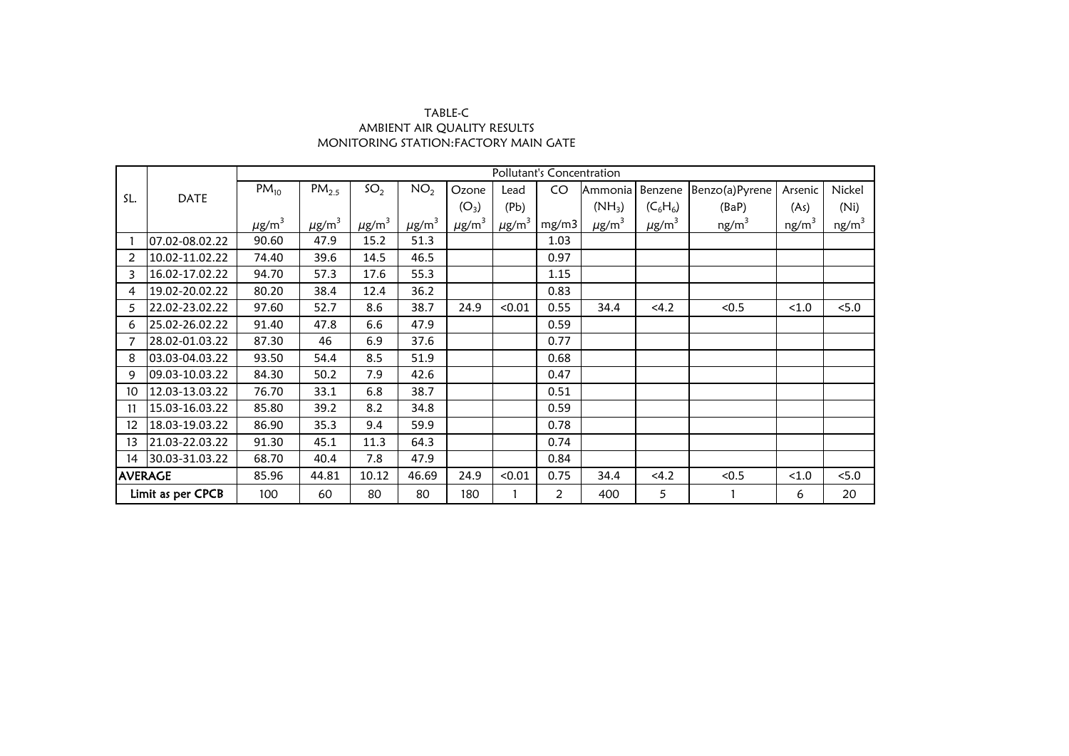## AMBIENT AIR QUALITY RESULTS MONITORING STATION:FACTORY MAIN GATE TABLE-C

|                   |                |                        |                        |                        |                        |                        |                        | Pollutant's Concentration |                        |                        |                   |                   |                   |
|-------------------|----------------|------------------------|------------------------|------------------------|------------------------|------------------------|------------------------|---------------------------|------------------------|------------------------|-------------------|-------------------|-------------------|
|                   |                | $PM_{10}$              | PM <sub>2.5</sub>      | SO <sub>2</sub>        | NO <sub>2</sub>        | Ozone                  | Lead                   | CO                        | Ammonia                | Benzene                | Benzo(a)Pyrene    | Arsenic           | Nickel            |
| SL.               | <b>DATE</b>    |                        |                        |                        |                        | $(O_3)$                | (Pb)                   |                           | $(NH_3)$               | $(C_6H_6)$             | (BaP)             | (As)              | (Ni)              |
|                   |                | $\mu$ g/m <sup>3</sup> | $\mu$ g/m <sup>3</sup> | $\mu$ g/m <sup>3</sup> | $\mu$ g/m <sup>3</sup> | $\mu$ g/m <sup>3</sup> | $\mu$ g/m <sup>3</sup> | mg/m3                     | $\mu$ g/m <sup>3</sup> | $\mu$ g/m <sup>3</sup> | ng/m <sup>3</sup> | ng/m <sup>3</sup> | ng/m <sup>3</sup> |
|                   | 07.02-08.02.22 | 90.60                  | 47.9                   | 15.2                   | 51.3                   |                        |                        | 1.03                      |                        |                        |                   |                   |                   |
| 2                 | 10.02-11.02.22 | 74.40                  | 39.6                   | 14.5                   | 46.5                   |                        |                        | 0.97                      |                        |                        |                   |                   |                   |
| 3                 | 16.02-17.02.22 | 94.70                  | 57.3                   | 17.6                   | 55.3                   |                        |                        | 1.15                      |                        |                        |                   |                   |                   |
| 4                 | 19.02-20.02.22 | 80.20                  | 38.4                   | 12.4                   | 36.2                   |                        |                        | 0.83                      |                        |                        |                   |                   |                   |
| 5                 | 22.02-23.02.22 | 97.60                  | 52.7                   | 8.6                    | 38.7                   | 24.9                   | < 0.01                 | 0.55                      | 34.4                   | < 4.2                  | < 0.5             | < 1.0             | < 5.0             |
| 6                 | 25.02-26.02.22 | 91.40                  | 47.8                   | 6.6                    | 47.9                   |                        |                        | 0.59                      |                        |                        |                   |                   |                   |
| 7                 | 28.02-01.03.22 | 87.30                  | 46                     | 6.9                    | 37.6                   |                        |                        | 0.77                      |                        |                        |                   |                   |                   |
| 8                 | 03.03-04.03.22 | 93.50                  | 54.4                   | 8.5                    | 51.9                   |                        |                        | 0.68                      |                        |                        |                   |                   |                   |
| 9                 | 09.03-10.03.22 | 84.30                  | 50.2                   | 7.9                    | 42.6                   |                        |                        | 0.47                      |                        |                        |                   |                   |                   |
| 10                | 12.03-13.03.22 | 76.70                  | 33.1                   | 6.8                    | 38.7                   |                        |                        | 0.51                      |                        |                        |                   |                   |                   |
| 11                | 15.03-16.03.22 | 85.80                  | 39.2                   | 8.2                    | 34.8                   |                        |                        | 0.59                      |                        |                        |                   |                   |                   |
| 12                | 18.03-19.03.22 | 86.90                  | 35.3                   | 9.4                    | 59.9                   |                        |                        | 0.78                      |                        |                        |                   |                   |                   |
| 13                | 21.03-22.03.22 | 91.30                  | 45.1                   | 11.3                   | 64.3                   |                        |                        | 0.74                      |                        |                        |                   |                   |                   |
| 14                | 30.03-31.03.22 | 68.70                  | 40.4                   | 7.8                    | 47.9                   |                        |                        | 0.84                      |                        |                        |                   |                   |                   |
| <b>AVERAGE</b>    |                | 85.96                  | 44.81                  | 10.12                  | 46.69                  | 24.9                   | < 0.01                 | 0.75                      | 34.4                   | < 4.2                  | < 0.5             | < 1.0             | < 5.0             |
| Limit as per CPCB |                | 100                    | 60                     | 80                     | 80                     | 180                    |                        | $\overline{2}$            | 400                    | 5                      |                   | 6                 | 20                |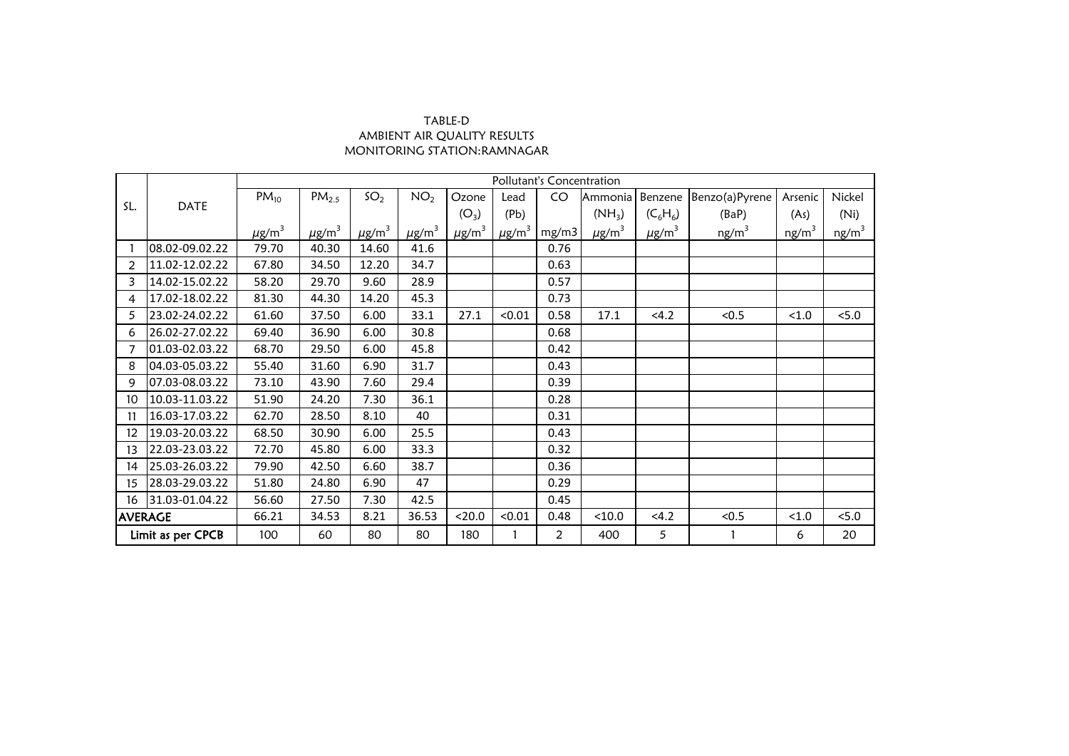## MONITORING STATION:RAMNAGAR TABLE-D AMBIENT AIR QUALITY RESULTS

|                   |                | Pollutant's Concentration |                        |                 |                        |                        |                        |                |                        |                        |                   |                   |                   |
|-------------------|----------------|---------------------------|------------------------|-----------------|------------------------|------------------------|------------------------|----------------|------------------------|------------------------|-------------------|-------------------|-------------------|
|                   |                | $PM_{10}$                 | $PM_{2.5}$             | SO <sub>2</sub> | NO <sub>2</sub>        | Ozone                  | Lead                   | CO             | Ammonia                | Benzene                | Benzo(a)Pyrene    | Arsenic           | Nickel            |
| SL.               | <b>DATE</b>    |                           |                        |                 |                        | $(O_3)$                | (Pb)                   |                | $(NH_3)$               | $(C_6H_6)$             | (BaP)             | (As)              | (Ni)              |
|                   |                | $\mu$ g/m <sup>3</sup>    | $\mu$ g/m <sup>3</sup> | $\mu$ g/m $^3$  | $\mu$ g/m <sup>3</sup> | $\mu$ g/m <sup>3</sup> | $\mu$ g/m <sup>3</sup> | mg/m3          | $\mu$ g/m <sup>3</sup> | $\mu$ g/m <sup>3</sup> | ng/m <sup>3</sup> | ng/m <sup>3</sup> | ng/m <sup>3</sup> |
|                   | 08.02-09.02.22 | 79.70                     | 40.30                  | 14.60           | 41.6                   |                        |                        | 0.76           |                        |                        |                   |                   |                   |
| $\overline{2}$    | 11.02-12.02.22 | 67.80                     | 34.50                  | 12.20           | 34.7                   |                        |                        | 0.63           |                        |                        |                   |                   |                   |
| 3                 | 14.02-15.02.22 | 58.20                     | 29.70                  | 9.60            | 28.9                   |                        |                        | 0.57           |                        |                        |                   |                   |                   |
| 4                 | 17.02-18.02.22 | 81.30                     | 44.30                  | 14.20           | 45.3                   |                        |                        | 0.73           |                        |                        |                   |                   |                   |
| 5                 | 23.02-24.02.22 | 61.60                     | 37.50                  | 6.00            | 33.1                   | 27.1                   | < 0.01                 | 0.58           | 17.1                   | < 4.2                  | < 0.5             | < 1.0             | < 5.0             |
| 6                 | 26.02-27.02.22 | 69.40                     | 36.90                  | 6.00            | 30.8                   |                        |                        | 0.68           |                        |                        |                   |                   |                   |
|                   | 01.03-02.03.22 | 68.70                     | 29.50                  | 6.00            | 45.8                   |                        |                        | 0.42           |                        |                        |                   |                   |                   |
| 8                 | 04.03-05.03.22 | 55.40                     | 31.60                  | 6.90            | 31.7                   |                        |                        | 0.43           |                        |                        |                   |                   |                   |
| 9                 | 07.03-08.03.22 | 73.10                     | 43.90                  | 7.60            | 29.4                   |                        |                        | 0.39           |                        |                        |                   |                   |                   |
| 10                | 10.03-11.03.22 | 51.90                     | 24.20                  | 7.30            | 36.1                   |                        |                        | 0.28           |                        |                        |                   |                   |                   |
| 11                | 16.03-17.03.22 | 62.70                     | 28.50                  | 8.10            | 40                     |                        |                        | 0.31           |                        |                        |                   |                   |                   |
| $12 \,$           | 19.03-20.03.22 | 68.50                     | 30.90                  | 6.00            | 25.5                   |                        |                        | 0.43           |                        |                        |                   |                   |                   |
| 13                | 22.03-23.03.22 | 72.70                     | 45.80                  | 6.00            | 33.3                   |                        |                        | 0.32           |                        |                        |                   |                   |                   |
| 14                | 25.03-26.03.22 | 79.90                     | 42.50                  | 6.60            | 38.7                   |                        |                        | 0.36           |                        |                        |                   |                   |                   |
| 15                | 28.03-29.03.22 | 51.80                     | 24.80                  | 6.90            | 47                     |                        |                        | 0.29           |                        |                        |                   |                   |                   |
| 16                | 31.03-01.04.22 | 56.60                     | 27.50                  | 7.30            | 42.5                   |                        |                        | 0.45           |                        |                        |                   |                   |                   |
| <b>AVERAGE</b>    |                | 66.21                     | 34.53                  | 8.21            | 36.53                  | < 20.0                 | < 0.01                 | 0.48           | < 10.0                 | <4.2                   | < 0.5             | < 1.0             | < 5.0             |
| Limit as per CPCB |                | 100                       | 60                     | 80              | 80                     | 180                    |                        | $\overline{2}$ | 400                    | 5                      |                   | 6                 | 20                |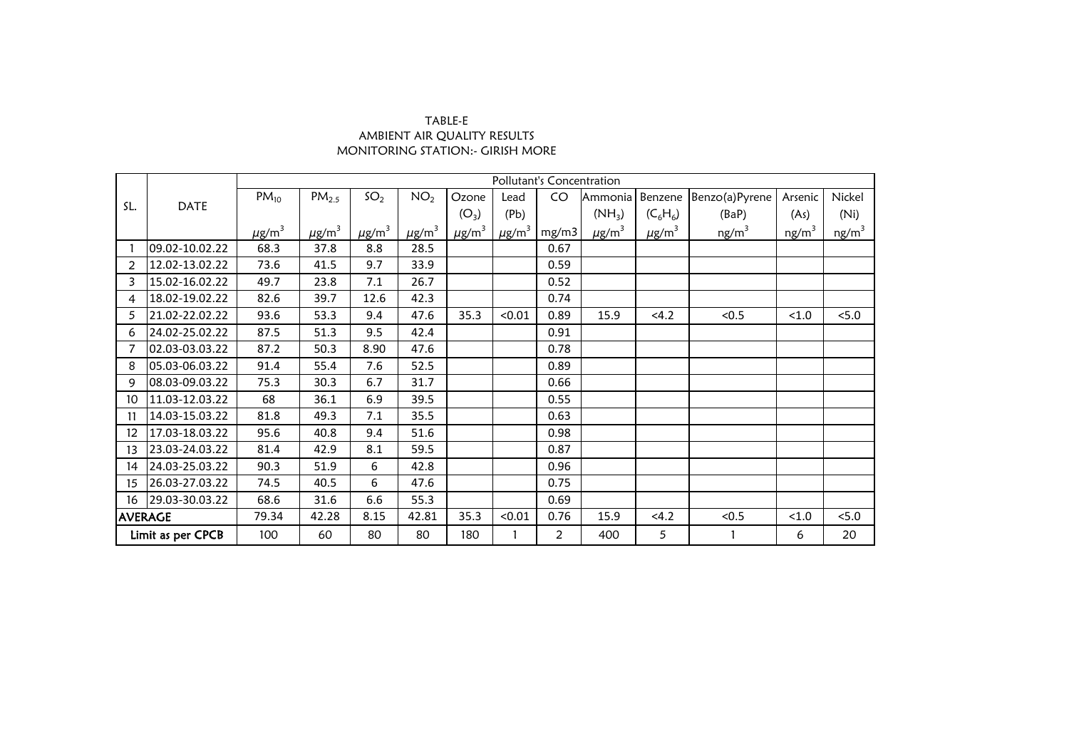| TABLE-E                           |
|-----------------------------------|
| AMBIENT AIR OUALITY RESULTS       |
| MONITORING STATION: - GIRISH MORE |

|                   |                | Pollutant's Concentration |                   |                        |                        |                |                        |                |                        |                        |                   |                   |                   |
|-------------------|----------------|---------------------------|-------------------|------------------------|------------------------|----------------|------------------------|----------------|------------------------|------------------------|-------------------|-------------------|-------------------|
|                   |                | $PM_{10}$                 | PM <sub>2.5</sub> | SO <sub>2</sub>        | NO <sub>2</sub>        | Ozone          | Lead                   | CO             | Ammonia                | Benzene                | Benzo(a)Pyrene    | Arsenic           | Nickel            |
| SL.               | <b>DATE</b>    |                           |                   |                        |                        | $(O_3)$        | (Pb)                   |                | $(NH_3)$               | $(C_6H_6)$             | (BaP)             | (As)              | (Ni)              |
|                   |                | $\mu$ g/m <sup>3</sup>    | $\mu$ g/m $^3$    | $\mu$ g/m <sup>3</sup> | $\mu$ g/m <sup>3</sup> | $\mu$ g/m $^3$ | $\mu$ g/m <sup>3</sup> | mg/m3          | $\mu$ g/m <sup>3</sup> | $\mu$ g/m <sup>3</sup> | ng/m <sup>3</sup> | ng/m <sup>3</sup> | ng/m <sup>3</sup> |
|                   | 09.02-10.02.22 | 68.3                      | 37.8              | 8.8                    | 28.5                   |                |                        | 0.67           |                        |                        |                   |                   |                   |
| 2                 | 12.02-13.02.22 | 73.6                      | 41.5              | 9.7                    | 33.9                   |                |                        | 0.59           |                        |                        |                   |                   |                   |
| 3                 | 15.02-16.02.22 | 49.7                      | 23.8              | 7.1                    | 26.7                   |                |                        | 0.52           |                        |                        |                   |                   |                   |
| 4                 | 18.02-19.02.22 | 82.6                      | 39.7              | 12.6                   | 42.3                   |                |                        | 0.74           |                        |                        |                   |                   |                   |
| 5                 | 21.02-22.02.22 | 93.6                      | 53.3              | 9.4                    | 47.6                   | 35.3           | < 0.01                 | 0.89           | 15.9                   | 4.2                    | < 0.5             | < 1.0             | < 5.0             |
| 6                 | 24.02-25.02.22 | 87.5                      | 51.3              | 9.5                    | 42.4                   |                |                        | 0.91           |                        |                        |                   |                   |                   |
| 7                 | 02.03-03.03.22 | 87.2                      | 50.3              | 8.90                   | 47.6                   |                |                        | 0.78           |                        |                        |                   |                   |                   |
| 8                 | 05.03-06.03.22 | 91.4                      | 55.4              | 7.6                    | 52.5                   |                |                        | 0.89           |                        |                        |                   |                   |                   |
| 9                 | 08.03-09.03.22 | 75.3                      | 30.3              | 6.7                    | 31.7                   |                |                        | 0.66           |                        |                        |                   |                   |                   |
| 10 <sup>°</sup>   | 11.03-12.03.22 | 68                        | 36.1              | 6.9                    | 39.5                   |                |                        | 0.55           |                        |                        |                   |                   |                   |
| 11                | 14.03-15.03.22 | 81.8                      | 49.3              | 7.1                    | 35.5                   |                |                        | 0.63           |                        |                        |                   |                   |                   |
| 12 <sup>°</sup>   | 17.03-18.03.22 | 95.6                      | 40.8              | 9.4                    | 51.6                   |                |                        | 0.98           |                        |                        |                   |                   |                   |
| 13                | 23.03-24.03.22 | 81.4                      | 42.9              | 8.1                    | 59.5                   |                |                        | 0.87           |                        |                        |                   |                   |                   |
| 14                | 24.03-25.03.22 | 90.3                      | 51.9              | 6                      | 42.8                   |                |                        | 0.96           |                        |                        |                   |                   |                   |
| 15                | 26.03-27.03.22 | 74.5                      | 40.5              | 6                      | 47.6                   |                |                        | 0.75           |                        |                        |                   |                   |                   |
| 16                | 29.03-30.03.22 | 68.6                      | 31.6              | 6.6                    | 55.3                   |                |                        | 0.69           |                        |                        |                   |                   |                   |
| <b>AVERAGE</b>    |                | 79.34                     | 42.28             | 8.15                   | 42.81                  | 35.3           | < 0.01                 | 0.76           | 15.9                   | 4.2                    | < 0.5             | < 1.0             | < 5.0             |
| Limit as per CPCB |                | 100                       | 60                | 80                     | 80                     | 180            |                        | $\overline{2}$ | 400                    | 5                      |                   | 6                 | 20                |